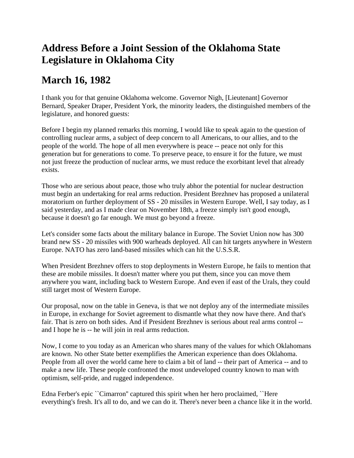## **Address Before a Joint Session of the Oklahoma State Legislature in Oklahoma City**

## **March 16, 1982**

I thank you for that genuine Oklahoma welcome. Governor Nigh, [Lieutenant] Governor Bernard, Speaker Draper, President York, the minority leaders, the distinguished members of the legislature, and honored guests:

Before I begin my planned remarks this morning, I would like to speak again to the question of controlling nuclear arms, a subject of deep concern to all Americans, to our allies, and to the people of the world. The hope of all men everywhere is peace -- peace not only for this generation but for generations to come. To preserve peace, to ensure it for the future, we must not just freeze the production of nuclear arms, we must reduce the exorbitant level that already exists.

Those who are serious about peace, those who truly abhor the potential for nuclear destruction must begin an undertaking for real arms reduction. President Brezhnev has proposed a unilateral moratorium on further deployment of SS - 20 missiles in Western Europe. Well, I say today, as I said yesterday, and as I made clear on November 18th, a freeze simply isn't good enough, because it doesn't go far enough. We must go beyond a freeze.

Let's consider some facts about the military balance in Europe. The Soviet Union now has 300 brand new SS - 20 missiles with 900 warheads deployed. All can hit targets anywhere in Western Europe. NATO has zero land-based missiles which can hit the U.S.S.R.

When President Brezhnev offers to stop deployments in Western Europe, he fails to mention that these are mobile missiles. It doesn't matter where you put them, since you can move them anywhere you want, including back to Western Europe. And even if east of the Urals, they could still target most of Western Europe.

Our proposal, now on the table in Geneva, is that we not deploy any of the intermediate missiles in Europe, in exchange for Soviet agreement to dismantle what they now have there. And that's fair. That is zero on both sides. And if President Brezhnev is serious about real arms control - and I hope he is -- he will join in real arms reduction.

Now, I come to you today as an American who shares many of the values for which Oklahomans are known. No other State better exemplifies the American experience than does Oklahoma. People from all over the world came here to claim a bit of land -- their part of America -- and to make a new life. These people confronted the most undeveloped country known to man with optimism, self-pride, and rugged independence.

Edna Ferber's epic ``Cimarron'' captured this spirit when her hero proclaimed, ``Here everything's fresh. It's all to do, and we can do it. There's never been a chance like it in the world.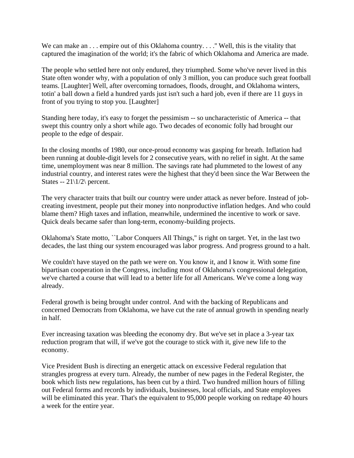We can make an . . . empire out of this Oklahoma country. . . . " Well, this is the vitality that captured the imagination of the world; it's the fabric of which Oklahoma and America are made.

The people who settled here not only endured, they triumphed. Some who've never lived in this State often wonder why, with a population of only 3 million, you can produce such great football teams. [Laughter] Well, after overcoming tornadoes, floods, drought, and Oklahoma winters, totin' a ball down a field a hundred yards just isn't such a hard job, even if there are 11 guys in front of you trying to stop you. [Laughter]

Standing here today, it's easy to forget the pessimism -- so uncharacteristic of America -- that swept this country only a short while ago. Two decades of economic folly had brought our people to the edge of despair.

In the closing months of 1980, our once-proud economy was gasping for breath. Inflation had been running at double-digit levels for 2 consecutive years, with no relief in sight. At the same time, unemployment was near 8 million. The savings rate had plummeted to the lowest of any industrial country, and interest rates were the highest that they'd been since the War Between the States --  $21\frac{1}{2}$  percent.

The very character traits that built our country were under attack as never before. Instead of jobcreating investment, people put their money into nonproductive inflation hedges. And who could blame them? High taxes and inflation, meanwhile, undermined the incentive to work or save. Quick deals became safer than long-term, economy-building projects.

Oklahoma's State motto, ``Labor Conquers All Things,'' is right on target. Yet, in the last two decades, the last thing our system encouraged was labor progress. And progress ground to a halt.

We couldn't have stayed on the path we were on. You know it, and I know it. With some fine bipartisan cooperation in the Congress, including most of Oklahoma's congressional delegation, we've charted a course that will lead to a better life for all Americans. We've come a long way already.

Federal growth is being brought under control. And with the backing of Republicans and concerned Democrats from Oklahoma, we have cut the rate of annual growth in spending nearly in half.

Ever increasing taxation was bleeding the economy dry. But we've set in place a 3-year tax reduction program that will, if we've got the courage to stick with it, give new life to the economy.

Vice President Bush is directing an energetic attack on excessive Federal regulation that strangles progress at every turn. Already, the number of new pages in the Federal Register, the book which lists new regulations, has been cut by a third. Two hundred million hours of filling out Federal forms and records by individuals, businesses, local officials, and State employees will be eliminated this year. That's the equivalent to 95,000 people working on redtape 40 hours a week for the entire year.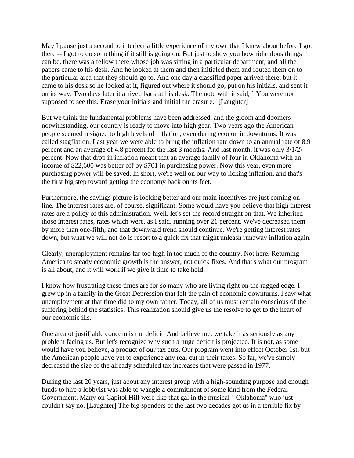May I pause just a second to interject a little experience of my own that I knew about before I got there -- I got to do something if it still is going on. But just to show you how ridiculous things can be, there was a fellow there whose job was sitting in a particular department, and all the papers came to his desk. And he looked at them and then initialed them and routed them on to the particular area that they should go to. And one day a classified paper arrived there, but it came to his desk so he looked at it, figured out where it should go, put on his initials, and sent it on its way. Two days later it arrived back at his desk. The note with it said, ``You were not supposed to see this. Erase your initials and initial the erasure.'' [Laughter]

But we think the fundamental problems have been addressed, and the gloom and doomers notwithstanding, our country is ready to move into high gear. Two years ago the American people seemed resigned to high levels of inflation, even during economic downturns. It was called stagflation. Last year we were able to bring the inflation rate down to an annual rate of 8.9 percent and an average of 4.8 percent for the last 3 months. And last month, it was only  $3\frac{1}{2}$ percent. Now that drop in inflation meant that an average family of four in Oklahoma with an income of \$22,600 was better off by \$701 in purchasing power. Now this year, even more purchasing power will be saved. In short, we're well on our way to licking inflation, and that's the first big step toward getting the economy back on its feet.

Furthermore, the savings picture is looking better and our main incentives are just coming on line. The interest rates are, of course, significant. Some would have you believe that high interest rates are a policy of this administration. Well, let's set the record straight on that. We inherited those interest rates, rates which were, as I said, running over 21 percent. We've decreased them by more than one-fifth, and that downward trend should continue. We're getting interest rates down, but what we will not do is resort to a quick fix that might unleash runaway inflation again.

Clearly, unemployment remains far too high in too much of the country. Not here. Returning America to steady economic growth is the answer, not quick fixes. And that's what our program is all about, and it will work if we give it time to take hold.

I know how frustrating these times are for so many who are living right on the ragged edge. I grew up in a family in the Great Depression that felt the pain of economic downturns. I saw what unemployment at that time did to my own father. Today, all of us must remain conscious of the suffering behind the statistics. This realization should give us the resolve to get to the heart of our economic ills.

One area of justifiable concern is the deficit. And believe me, we take it as seriously as any problem facing us. But let's recognize why such a huge deficit is projected. It is not, as some would have you believe, a product of our tax cuts. Our program went into effect October 1st, but the American people have yet to experience any real cut in their taxes. So far, we've simply decreased the size of the already scheduled tax increases that were passed in 1977.

During the last 20 years, just about any interest group with a high-sounding purpose and enough funds to hire a lobbyist was able to wangle a commitment of some kind from the Federal Government. Many on Capitol Hill were like that gal in the musical ``Oklahoma'' who just couldn't say no. [Laughter] The big spenders of the last two decades got us in a terrible fix by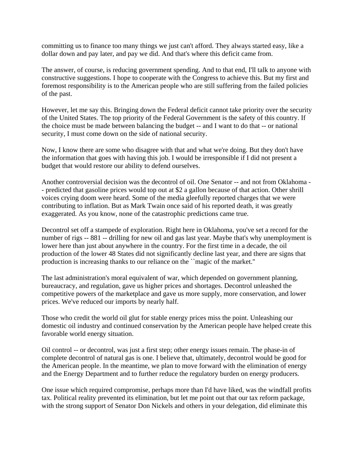committing us to finance too many things we just can't afford. They always started easy, like a dollar down and pay later, and pay we did. And that's where this deficit came from.

The answer, of course, is reducing government spending. And to that end, I'll talk to anyone with constructive suggestions. I hope to cooperate with the Congress to achieve this. But my first and foremost responsibility is to the American people who are still suffering from the failed policies of the past.

However, let me say this. Bringing down the Federal deficit cannot take priority over the security of the United States. The top priority of the Federal Government is the safety of this country. If the choice must be made between balancing the budget -- and I want to do that -- or national security, I must come down on the side of national security.

Now, I know there are some who disagree with that and what we're doing. But they don't have the information that goes with having this job. I would be irresponsible if I did not present a budget that would restore our ability to defend ourselves.

Another controversial decision was the decontrol of oil. One Senator -- and not from Oklahoma - - predicted that gasoline prices would top out at \$2 a gallon because of that action. Other shrill voices crying doom were heard. Some of the media gleefully reported charges that we were contributing to inflation. But as Mark Twain once said of his reported death, it was greatly exaggerated. As you know, none of the catastrophic predictions came true.

Decontrol set off a stampede of exploration. Right here in Oklahoma, you've set a record for the number of rigs -- 881 -- drilling for new oil and gas last year. Maybe that's why unemployment is lower here than just about anywhere in the country. For the first time in a decade, the oil production of the lower 48 States did not significantly decline last year, and there are signs that production is increasing thanks to our reliance on the ``magic of the market.''

The last administration's moral equivalent of war, which depended on government planning, bureaucracy, and regulation, gave us higher prices and shortages. Decontrol unleashed the competitive powers of the marketplace and gave us more supply, more conservation, and lower prices. We've reduced our imports by nearly half.

Those who credit the world oil glut for stable energy prices miss the point. Unleashing our domestic oil industry and continued conservation by the American people have helped create this favorable world energy situation.

Oil control -- or decontrol, was just a first step; other energy issues remain. The phase-in of complete decontrol of natural gas is one. I believe that, ultimately, decontrol would be good for the American people. In the meantime, we plan to move forward with the elimination of energy and the Energy Department and to further reduce the regulatory burden on energy producers.

One issue which required compromise, perhaps more than I'd have liked, was the windfall profits tax. Political reality prevented its elimination, but let me point out that our tax reform package, with the strong support of Senator Don Nickels and others in your delegation, did eliminate this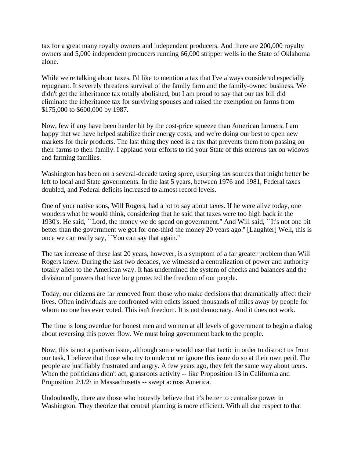tax for a great many royalty owners and independent producers. And there are 200,000 royalty owners and 5,000 independent producers running 66,000 stripper wells in the State of Oklahoma alone.

While we're talking about taxes, I'd like to mention a tax that I've always considered especially repugnant. It severely threatens survival of the family farm and the family-owned business. We didn't get the inheritance tax totally abolished, but I am proud to say that our tax bill did eliminate the inheritance tax for surviving spouses and raised the exemption on farms from \$175,000 to \$600,000 by 1987.

Now, few if any have been harder hit by the cost-price squeeze than American farmers. I am happy that we have helped stabilize their energy costs, and we're doing our best to open new markets for their products. The last thing they need is a tax that prevents them from passing on their farms to their family. I applaud your efforts to rid your State of this onerous tax on widows and farming families.

Washington has been on a several-decade taxing spree, usurping tax sources that might better be left to local and State governments. In the last 5 years, between 1976 and 1981, Federal taxes doubled, and Federal deficits increased to almost record levels.

One of your native sons, Will Rogers, had a lot to say about taxes. If he were alive today, one wonders what he would think, considering that he said that taxes were too high back in the 1930's. He said, ``Lord, the money we do spend on government.'' And Will said, ``It's not one bit better than the government we got for one-third the money 20 years ago.'' [Laughter] Well, this is once we can really say, ``You can say that again.''

The tax increase of these last 20 years, however, is a symptom of a far greater problem than Will Rogers knew. During the last two decades, we witnessed a centralization of power and authority totally alien to the American way. It has undermined the system of checks and balances and the division of powers that have long protected the freedom of our people.

Today, our citizens are far removed from those who make decisions that dramatically affect their lives. Often individuals are confronted with edicts issued thousands of miles away by people for whom no one has ever voted. This isn't freedom. It is not democracy. And it does not work.

The time is long overdue for honest men and women at all levels of government to begin a dialog about reversing this power flow. We must bring government back to the people.

Now, this is not a partisan issue, although some would use that tactic in order to distract us from our task. I believe that those who try to undercut or ignore this issue do so at their own peril. The people are justifiably frustrated and angry. A few years ago, they felt the same way about taxes. When the politicians didn't act, grassroots activity -- like Proposition 13 in California and Proposition  $2\langle 1/2 \rangle$  in Massachusetts -- swept across America.

Undoubtedly, there are those who honestly believe that it's better to centralize power in Washington. They theorize that central planning is more efficient. With all due respect to that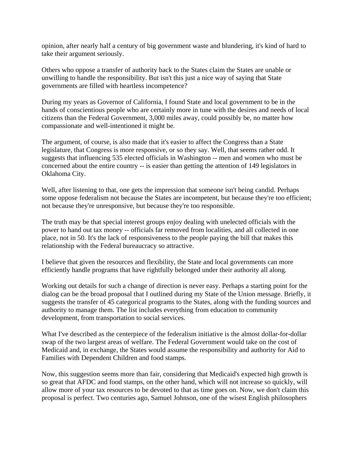opinion, after nearly half a century of big government waste and blundering, it's kind of hard to take their argument seriously.

Others who oppose a transfer of authority back to the States claim the States are unable or unwilling to handle the responsibility. But isn't this just a nice way of saying that State governments are filled with heartless incompetence?

During my years as Governor of California, I found State and local government to be in the hands of conscientious people who are certainly more in tune with the desires and needs of local citizens than the Federal Government, 3,000 miles away, could possibly be, no matter how compassionate and well-intentioned it might be.

The argument, of course, is also made that it's easier to affect the Congress than a State legislature, that Congress is more responsive, or so they say. Well, that seems rather odd. It suggests that influencing 535 elected officials in Washington -- men and women who must be concerned about the entire country -- is easier than getting the attention of 149 legislators in Oklahoma City.

Well, after listening to that, one gets the impression that someone isn't being candid. Perhaps some oppose federalism not because the States are incompetent, but because they're too efficient; not because they're unresponsive, but because they're too responsible.

The truth may be that special interest groups enjoy dealing with unelected officials with the power to hand out tax money -- officials far removed from localities, and all collected in one place, not in 50. It's the lack of responsiveness to the people paying the bill that makes this relationship with the Federal bureaucracy so attractive.

I believe that given the resources and flexibility, the State and local governments can more efficiently handle programs that have rightfully belonged under their authority all along.

Working out details for such a change of direction is never easy. Perhaps a starting point for the dialog can be the broad proposal that I outlined during my State of the Union message. Briefly, it suggests the transfer of 45 categorical programs to the States, along with the funding sources and authority to manage them. The list includes everything from education to community development, from transportation to social services.

What I've described as the centerpiece of the federalism initiative is the almost dollar-for-dollar swap of the two largest areas of welfare. The Federal Government would take on the cost of Medicaid and, in exchange, the States would assume the responsibility and authority for Aid to Families with Dependent Children and food stamps.

Now, this suggestion seems more than fair, considering that Medicaid's expected high growth is so great that AFDC and food stamps, on the other hand, which will not increase so quickly, will allow more of your tax resources to be devoted to that as time goes on. Now, we don't claim this proposal is perfect. Two centuries ago, Samuel Johnson, one of the wisest English philosophers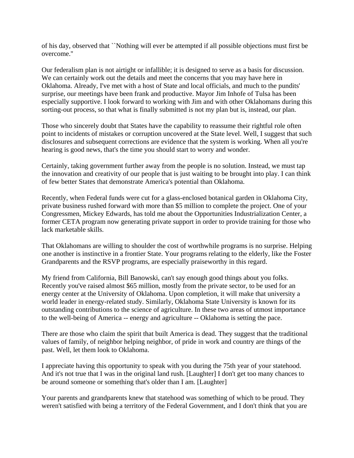of his day, observed that ``Nothing will ever be attempted if all possible objections must first be overcome.''

Our federalism plan is not airtight or infallible; it is designed to serve as a basis for discussion. We can certainly work out the details and meet the concerns that you may have here in Oklahoma. Already, I've met with a host of State and local officials, and much to the pundits' surprise, our meetings have been frank and productive. Mayor Jim Inhofe of Tulsa has been especially supportive. I look forward to working with Jim and with other Oklahomans during this sorting-out process, so that what is finally submitted is not my plan but is, instead, our plan.

Those who sincerely doubt that States have the capability to reassume their rightful role often point to incidents of mistakes or corruption uncovered at the State level. Well, I suggest that such disclosures and subsequent corrections are evidence that the system is working. When all you're hearing is good news, that's the time you should start to worry and wonder.

Certainly, taking government further away from the people is no solution. Instead, we must tap the innovation and creativity of our people that is just waiting to be brought into play. I can think of few better States that demonstrate America's potential than Oklahoma.

Recently, when Federal funds were cut for a glass-enclosed botanical garden in Oklahoma City, private business rushed forward with more than \$5 million to complete the project. One of your Congressmen, Mickey Edwards, has told me about the Opportunities Industrialization Center, a former CETA program now generating private support in order to provide training for those who lack marketable skills.

That Oklahomans are willing to shoulder the cost of worthwhile programs is no surprise. Helping one another is instinctive in a frontier State. Your programs relating to the elderly, like the Foster Grandparents and the RSVP programs, are especially praiseworthy in this regard.

My friend from California, Bill Banowski, can't say enough good things about you folks. Recently you've raised almost \$65 million, mostly from the private sector, to be used for an energy center at the University of Oklahoma. Upon completion, it will make that university a world leader in energy-related study. Similarly, Oklahoma State University is known for its outstanding contributions to the science of agriculture. In these two areas of utmost importance to the well-being of America -- energy and agriculture -- Oklahoma is setting the pace.

There are those who claim the spirit that built America is dead. They suggest that the traditional values of family, of neighbor helping neighbor, of pride in work and country are things of the past. Well, let them look to Oklahoma.

I appreciate having this opportunity to speak with you during the 75th year of your statehood. And it's not true that I was in the original land rush. [Laughter] I don't get too many chances to be around someone or something that's older than I am. [Laughter]

Your parents and grandparents knew that statehood was something of which to be proud. They weren't satisfied with being a territory of the Federal Government, and I don't think that you are